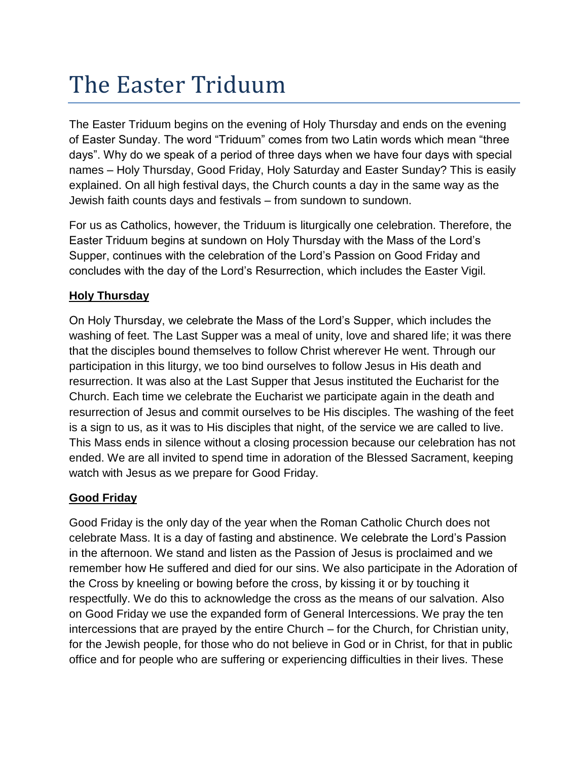## The Easter Triduum

The Easter Triduum begins on the evening of Holy Thursday and ends on the evening of Easter Sunday. The word "Triduum" comes from two Latin words which mean "three days". Why do we speak of a period of three days when we have four days with special names – Holy Thursday, Good Friday, Holy Saturday and Easter Sunday? This is easily explained. On all high festival days, the Church counts a day in the same way as the Jewish faith counts days and festivals – from sundown to sundown.

For us as Catholics, however, the Triduum is liturgically one celebration. Therefore, the Easter Triduum begins at sundown on Holy Thursday with the Mass of the Lord's Supper, continues with the celebration of the Lord's Passion on Good Friday and concludes with the day of the Lord's Resurrection, which includes the Easter Vigil.

## **Holy Thursday**

On Holy Thursday, we celebrate the Mass of the Lord's Supper, which includes the washing of feet. The Last Supper was a meal of unity, love and shared life; it was there that the disciples bound themselves to follow Christ wherever He went. Through our participation in this liturgy, we too bind ourselves to follow Jesus in His death and resurrection. It was also at the Last Supper that Jesus instituted the Eucharist for the Church. Each time we celebrate the Eucharist we participate again in the death and resurrection of Jesus and commit ourselves to be His disciples. The washing of the feet is a sign to us, as it was to His disciples that night, of the service we are called to live. This Mass ends in silence without a closing procession because our celebration has not ended. We are all invited to spend time in adoration of the Blessed Sacrament, keeping watch with Jesus as we prepare for Good Friday.

## **Good Friday**

Good Friday is the only day of the year when the Roman Catholic Church does not celebrate Mass. It is a day of fasting and abstinence. We celebrate the Lord's Passion in the afternoon. We stand and listen as the Passion of Jesus is proclaimed and we remember how He suffered and died for our sins. We also participate in the Adoration of the Cross by kneeling or bowing before the cross, by kissing it or by touching it respectfully. We do this to acknowledge the cross as the means of our salvation. Also on Good Friday we use the expanded form of General Intercessions. We pray the ten intercessions that are prayed by the entire Church – for the Church, for Christian unity, for the Jewish people, for those who do not believe in God or in Christ, for that in public office and for people who are suffering or experiencing difficulties in their lives. These